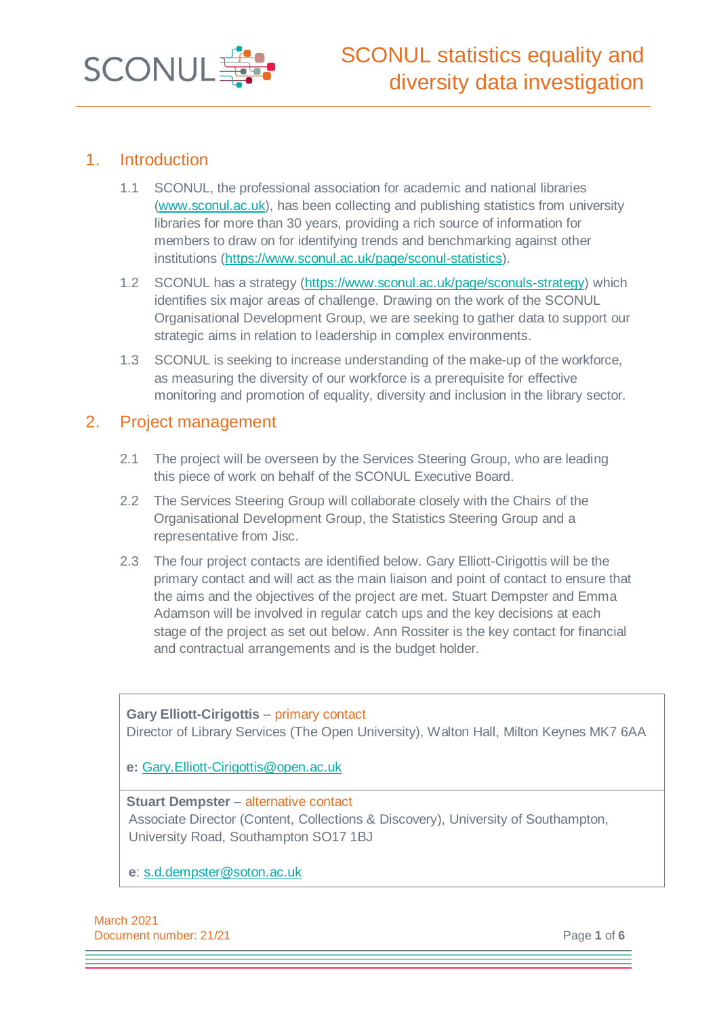

## 1. Introduction

- 1.1 SCONUL, the professional association for academic and national libraries [\(www.sconul.ac.uk\)](http://www.sconul.ac.uk/), has been collecting and publishing statistics from university libraries for more than 30 years, providing a rich source of information for members to draw on for identifying trends and benchmarking against other institutions [\(https://www.sconul.ac.uk/page/sconul-statistics\)](https://www.sconul.ac.uk/page/sconul-statistics).
- 1.2 SCONUL has a strategy [\(https://www.sconul.ac.uk/page/sconuls-strategy\)](https://www.sconul.ac.uk/page/sconuls-strategy) which identifies six major areas of challenge. Drawing on the work of the SCONUL Organisational Development Group, we are seeking to gather data to support our strategic aims in relation to leadership in complex environments.
- 1.3 SCONUL is seeking to increase understanding of the make-up of the workforce, as measuring the diversity of our workforce is a prerequisite for effective monitoring and promotion of equality, diversity and inclusion in the library sector.

### 2. Project management

- 2.1 The project will be overseen by the Services Steering Group, who are leading this piece of work on behalf of the SCONUL Executive Board.
- 2.2 The Services Steering Group will collaborate closely with the Chairs of the Organisational Development Group, the Statistics Steering Group and a representative from Jisc.
- 2.3 The four project contacts are identified below. Gary Elliott-Cirigottis will be the primary contact and will act as the main liaison and point of contact to ensure that the aims and the objectives of the project are met. Stuart Dempster and Emma Adamson will be involved in regular catch ups and the key decisions at each stage of the project as set out below. Ann Rossiter is the key contact for financial and contractual arrangements and is the budget holder.

**Gary Elliott-Cirigottis** – primary contact Director of Library Services (The Open University), Walton Hall, Milton Keynes MK7 6AA

**e:** [Gary.Elliott-Cirigottis@open.ac.uk](mailto:Gary.Elliott-Cirigottis@open.ac.uk)

#### **Stuart Dempster** – alternative contact

Associate Director (Content, Collections & Discovery), University of Southampton, University Road, Southampton SO17 1BJ

**e**: [s.d.dempster@soton.ac.uk](mailto:s.d.dempster@soton.ac.uk)

March 2021 **Document number: 21/21 Page 1 of 6 Page 1 of 6**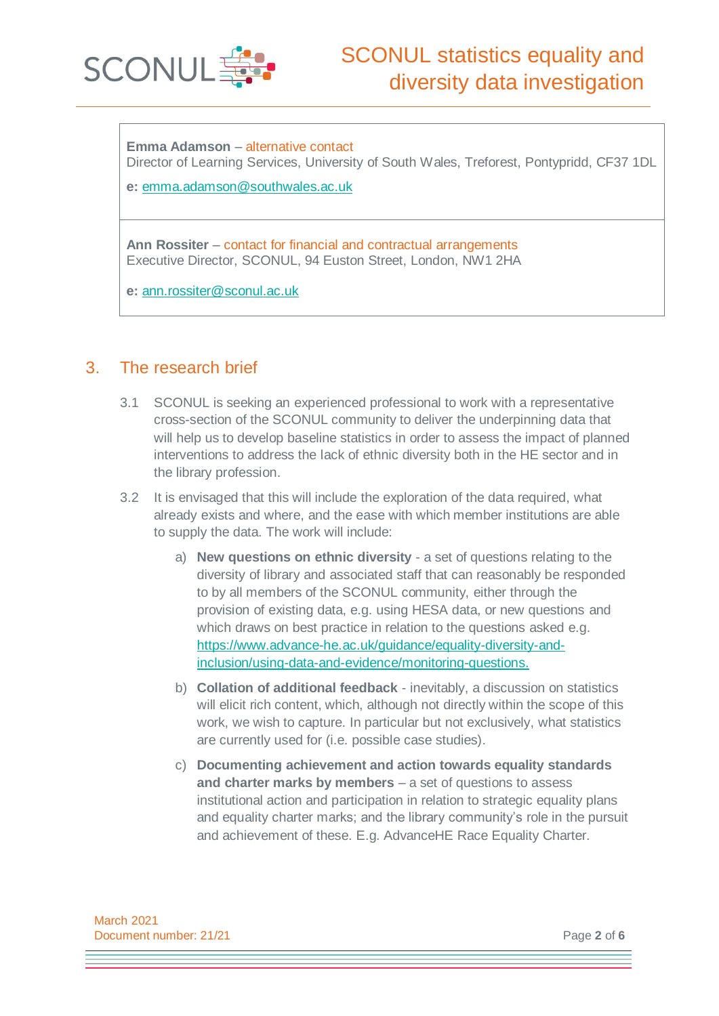

**Emma Adamson** – alternative contact Director of Learning Services, University of South Wales, Treforest, Pontypridd, CF37 1DL

**e:** [emma.adamson@southwales.ac.uk](mailto:emma.adamson@southwales.ac.uk)

**Ann Rossiter** – contact for financial and contractual arrangements Executive Director, SCONUL, 94 Euston Street, London, NW1 2HA

**e:** [ann.rossiter@sconul.ac.uk](mailto:ann.rossiter@sconul.ac.uk)

## 3. The research brief

- 3.1 SCONUL is seeking an experienced professional to work with a representative cross-section of the SCONUL community to deliver the underpinning data that will help us to develop baseline statistics in order to assess the impact of planned interventions to address the lack of ethnic diversity both in the HE sector and in the library profession.
- 3.2 It is envisaged that this will include the exploration of the data required, what already exists and where, and the ease with which member institutions are able to supply the data. The work will include:
	- a) **New questions on ethnic diversity** a set of questions relating to the diversity of library and associated staff that can reasonably be responded to by all members of the SCONUL community, either through the provision of existing data, e.g. using HESA data, or new questions and which draws on best practice in relation to the questions asked e.g. [https://www.advance-he.ac.uk/guidance/equality-diversity-and](https://www.advance-he.ac.uk/guidance/equality-diversity-and-inclusion/using-data-and-evidence/monitoring-questions)[inclusion/using-data-and-evidence/monitoring-questions.](https://www.advance-he.ac.uk/guidance/equality-diversity-and-inclusion/using-data-and-evidence/monitoring-questions)
	- b) **Collation of additional feedback** inevitably, a discussion on statistics will elicit rich content, which, although not directly within the scope of this work, we wish to capture. In particular but not exclusively, what statistics are currently used for (i.e. possible case studies).
	- c) **Documenting achievement and action towards equality standards and charter marks by members** – a set of questions to assess institutional action and participation in relation to strategic equality plans and equality charter marks; and the library community's role in the pursuit and achievement of these. E.g. AdvanceHE Race Equality Charter.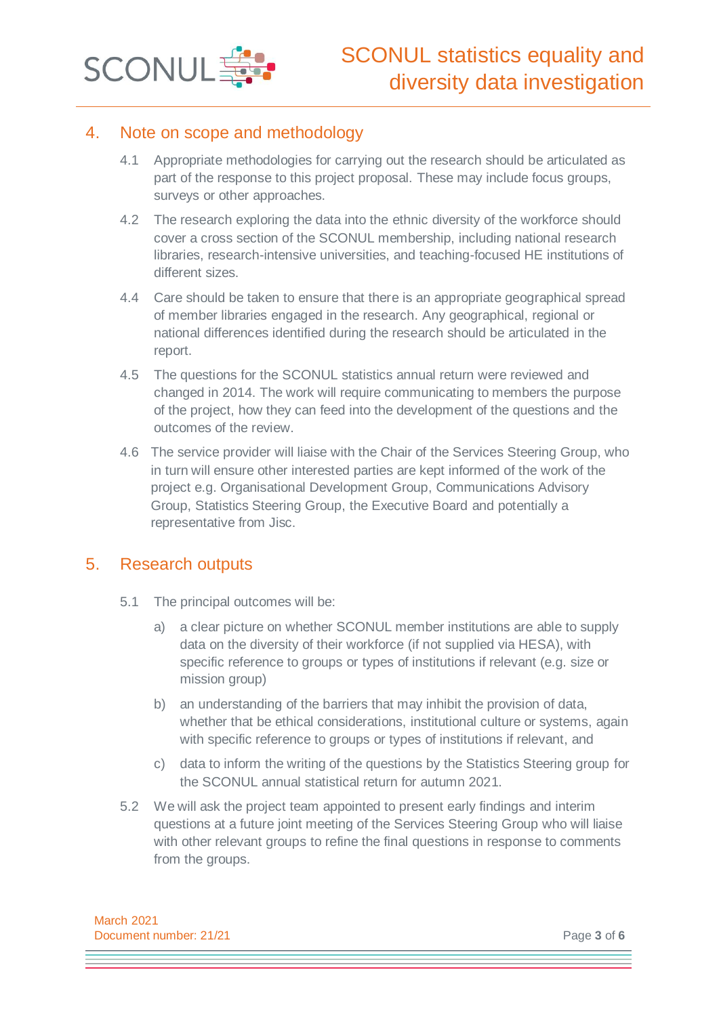

## 4. Note on scope and methodology

- 4.1 Appropriate methodologies for carrying out the research should be articulated as part of the response to this project proposal. These may include focus groups, surveys or other approaches.
- 4.2 The research exploring the data into the ethnic diversity of the workforce should cover a cross section of the SCONUL membership, including national research libraries, research-intensive universities, and teaching-focused HE institutions of different sizes.
- 4.4 Care should be taken to ensure that there is an appropriate geographical spread of member libraries engaged in the research. Any geographical, regional or national differences identified during the research should be articulated in the report.
- 4.5 The questions for the SCONUL statistics annual return were reviewed and changed in 2014. The work will require communicating to members the purpose of the project, how they can feed into the development of the questions and the outcomes of the review.
- 4.6 The service provider will liaise with the Chair of the Services Steering Group, who in turn will ensure other interested parties are kept informed of the work of the project e.g. Organisational Development Group, Communications Advisory Group, Statistics Steering Group, the Executive Board and potentially a representative from Jisc.

## 5. Research outputs

- 5.1 The principal outcomes will be:
	- a) a clear picture on whether SCONUL member institutions are able to supply data on the diversity of their workforce (if not supplied via HESA), with specific reference to groups or types of institutions if relevant (e.g. size or mission group)
	- b) an understanding of the barriers that may inhibit the provision of data, whether that be ethical considerations, institutional culture or systems, again with specific reference to groups or types of institutions if relevant, and
	- c) data to inform the writing of the questions by the Statistics Steering group for the SCONUL annual statistical return for autumn 2021.
- 5.2 We will ask the project team appointed to present early findings and interim questions at a future joint meeting of the Services Steering Group who will liaise with other relevant groups to refine the final questions in response to comments from the groups.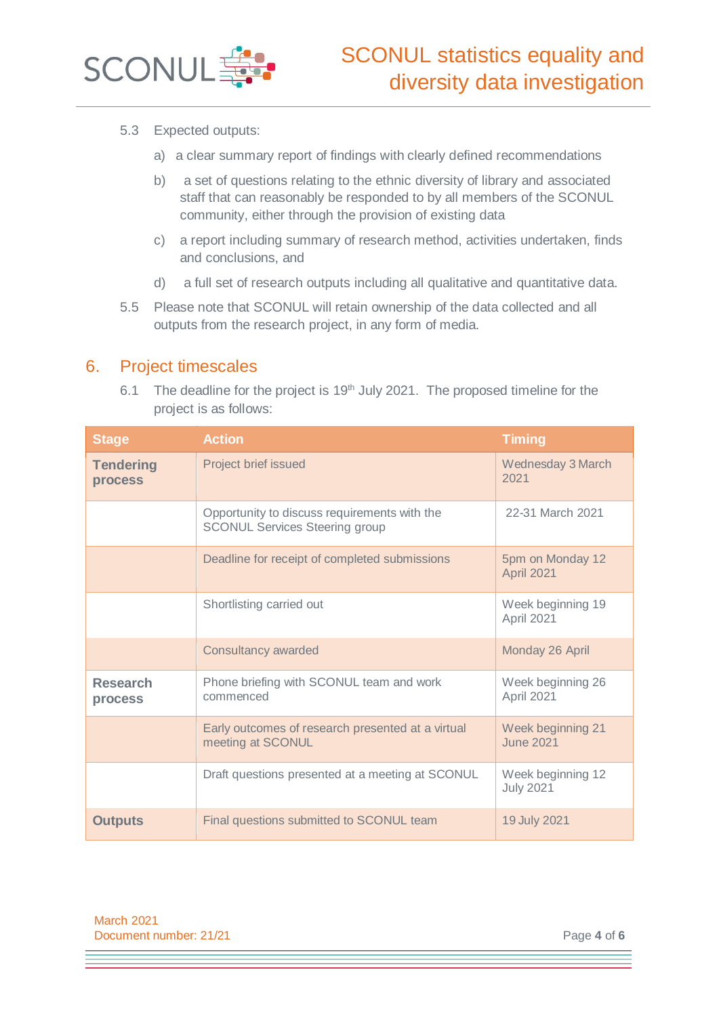

- 5.3 Expected outputs:
	- a) a clear summary report of findings with clearly defined recommendations
	- b) a set of questions relating to the ethnic diversity of library and associated staff that can reasonably be responded to by all members of the SCONUL community, either through the provision of existing data
	- c) a report including summary of research method, activities undertaken, finds and conclusions, and
	- d) a full set of research outputs including all qualitative and quantitative data.
- 5.5 Please note that SCONUL will retain ownership of the data collected and all outputs from the research project, in any form of media.

#### 6. Project timescales

6.1 The deadline for the project is  $19<sup>th</sup>$  July 2021. The proposed timeline for the project is as follows:

| <b>Stage</b>                | <b>Action</b>                                                                         | <b>Timing</b>                         |
|-----------------------------|---------------------------------------------------------------------------------------|---------------------------------------|
| <b>Tendering</b><br>process | Project brief issued                                                                  | Wednesday 3 March<br>2021             |
|                             | Opportunity to discuss requirements with the<br><b>SCONUL Services Steering group</b> | 22-31 March 2021                      |
|                             | Deadline for receipt of completed submissions                                         | 5pm on Monday 12<br>April 2021        |
|                             | Shortlisting carried out                                                              | Week beginning 19<br>April 2021       |
|                             | <b>Consultancy awarded</b>                                                            | Monday 26 April                       |
| <b>Research</b><br>process  | Phone briefing with SCONUL team and work<br>commenced                                 | Week beginning 26<br>April 2021       |
|                             | Early outcomes of research presented at a virtual<br>meeting at SCONUL                | Week beginning 21<br><b>June 2021</b> |
|                             | Draft questions presented at a meeting at SCONUL                                      | Week beginning 12<br><b>July 2021</b> |
| <b>Outputs</b>              | Final questions submitted to SCONUL team                                              | 19 July 2021                          |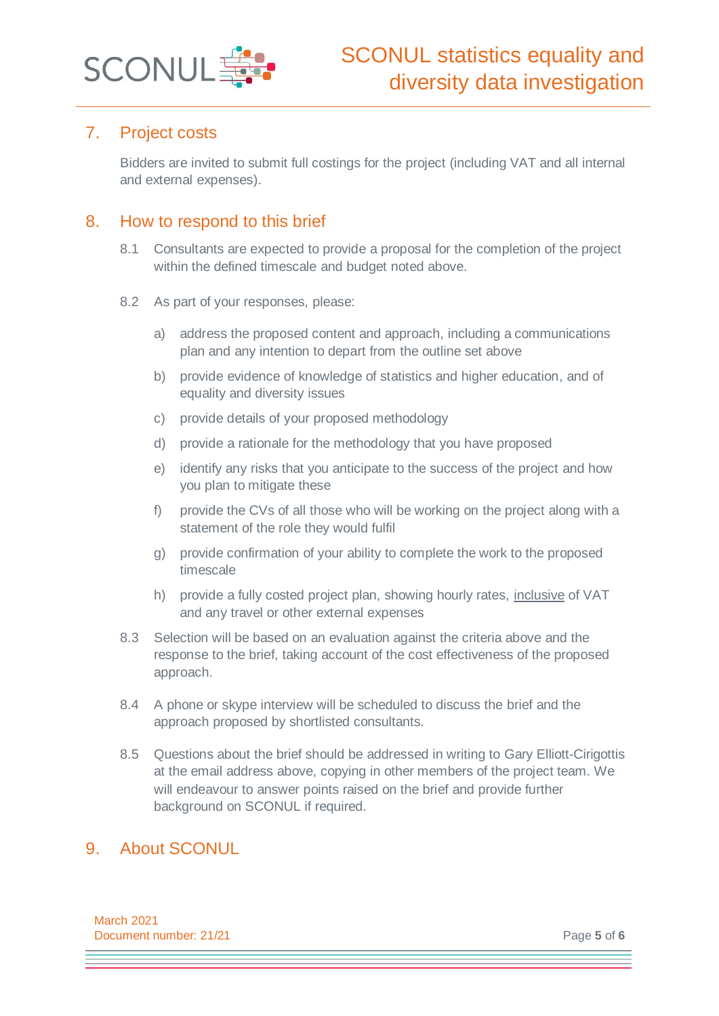

## 7. Project costs

Bidders are invited to submit full costings for the project (including VAT and all internal and external expenses).

## 8. How to respond to this brief

- 8.1 Consultants are expected to provide a proposal for the completion of the project within the defined timescale and budget noted above.
- 8.2 As part of your responses, please:
	- a) address the proposed content and approach, including a communications plan and any intention to depart from the outline set above
	- b) provide evidence of knowledge of statistics and higher education, and of equality and diversity issues
	- c) provide details of your proposed methodology
	- d) provide a rationale for the methodology that you have proposed
	- e) identify any risks that you anticipate to the success of the project and how you plan to mitigate these
	- f) provide the CVs of all those who will be working on the project along with a statement of the role they would fulfil
	- g) provide confirmation of your ability to complete the work to the proposed timescale
	- h) provide a fully costed project plan, showing hourly rates, inclusive of VAT and any travel or other external expenses
- 8.3 Selection will be based on an evaluation against the criteria above and the response to the brief, taking account of the cost effectiveness of the proposed approach.
- 8.4 A phone or skype interview will be scheduled to discuss the brief and the approach proposed by shortlisted consultants.
- 8.5 Questions about the brief should be addressed in writing to Gary Elliott-Cirigottis at the email address above, copying in other members of the project team. We will endeavour to answer points raised on the brief and provide further background on SCONUL if required.

## 9. About SCONUL

March 2021 **Document number: 21/21 Page 5** of **6**